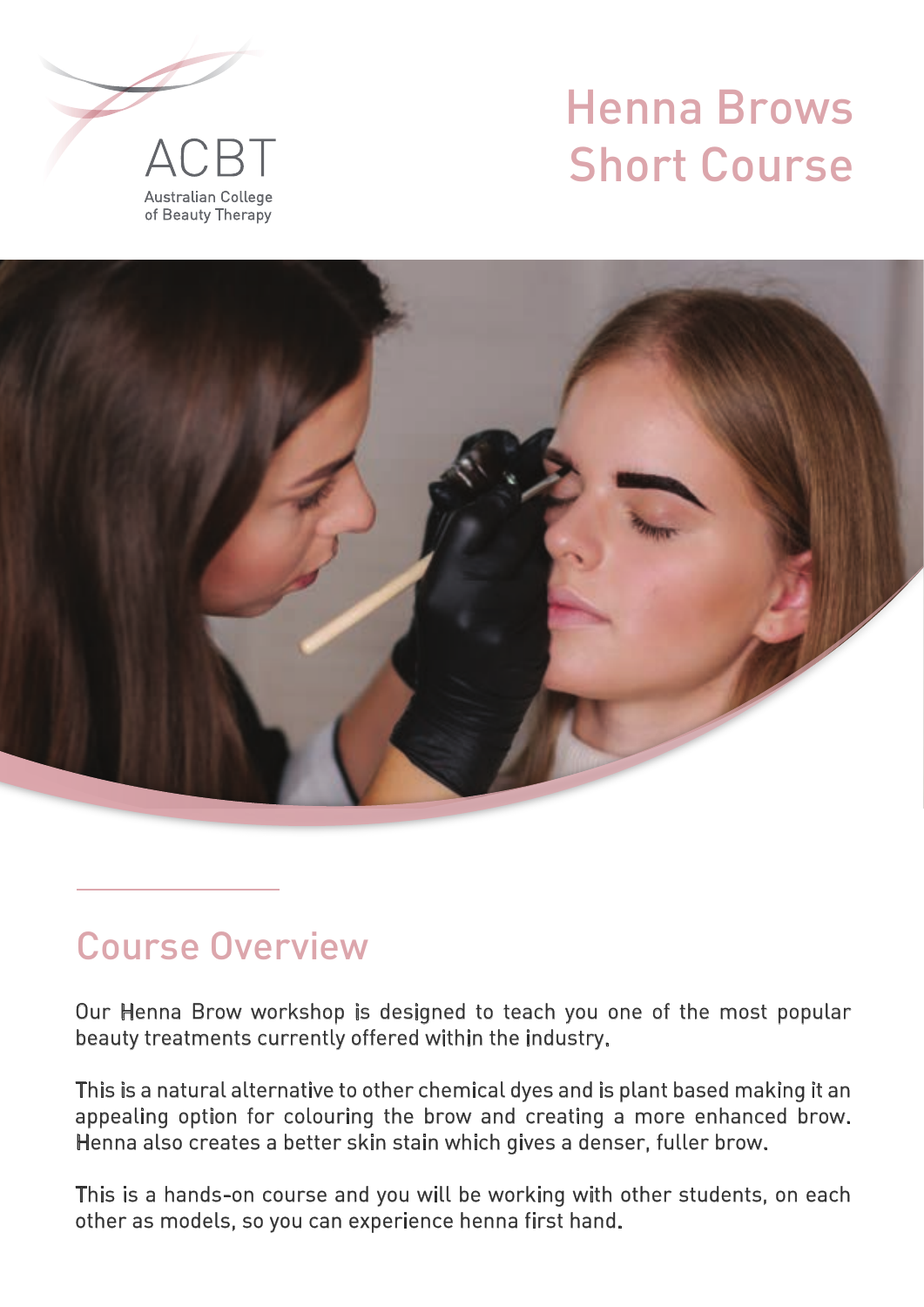# Henna Brows Short Course





## Course Overview

Our Henna Brow workshop is designed to teach you one of the most popular beauty treatments currently offered within the industry.

This is a natural alternative to other chemical dyes and is plant based making it an appealing option for colouring the brow and creating a more enhanced brow. Henna also creates a better skin stain which gives a denser, fuller brow.

This is a hands-on course and you will be working with other students, on each other as models, so you can experience henna first hand.